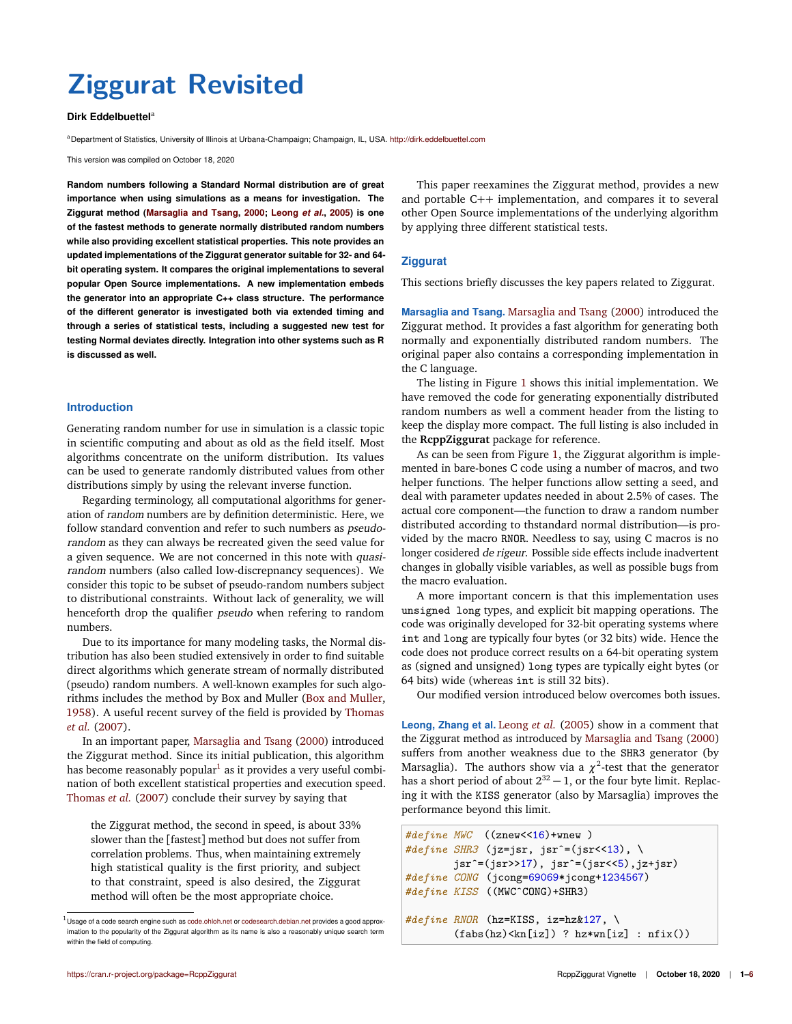# **Ziggurat Revisited**

#### **Dirk Eddelbuettela**

aDepartment of Statistics, University of Illinois at Urbana-Champaign; Champaign, IL, USA. <http://dirk.eddelbuettel.com>

This version was compiled on October 18, 2020

**Random numbers following a Standard Normal distribution are of great importance when using simulations as a means for investigation. The Ziggurat method [\(Marsaglia and Tsang,](#page-5-0) [2000;](#page-5-0) [Leong](#page-5-1)** *et al.***, [2005\)](#page-5-1) is one of the fastest methods to generate normally distributed random numbers while also providing excellent statistical properties. This note provides an updated implementations of the Ziggurat generator suitable for 32- and 64 bit operating system. It compares the original implementations to several popular Open Source implementations. A new implementation embeds the generator into an appropriate C++ class structure. The performance of the different generator is investigated both via extended timing and through a series of statistical tests, including a suggested new test for testing Normal deviates directly. Integration into other systems such as R is discussed as well.**

# **Introduction**

Generating random number for use in simulation is a classic topic in scientific computing and about as old as the field itself. Most algorithms concentrate on the uniform distribution. Its values can be used to generate randomly distributed values from other distributions simply by using the relevant inverse function.

Regarding terminology, all computational algorithms for generation of random numbers are by definition deterministic. Here, we follow standard convention and refer to such numbers as *pseudo*random as they can always be recreated given the seed value for a given sequence. We are not concerned in this note with quasirandom numbers (also called low-discrepnancy sequences). We consider this topic to be subset of pseudo-random numbers subject to distributional constraints. Without lack of generality, we will henceforth drop the qualifier pseudo when refering to random numbers.

Due to its importance for many modeling tasks, the Normal distribution has also been studied extensively in order to find suitable direct algorithms which generate stream of normally distributed (pseudo) random numbers. A well-known examples for such algorithms includes the method by Box and Muller [\(Box and Muller,](#page-5-2) [1958\)](#page-5-2). A useful recent survey of the field is provided by [Thomas](#page-5-3) *[et al.](#page-5-3)* [\(2007\)](#page-5-3).

In an important paper, [Marsaglia and Tsang](#page-5-0) [\(2000\)](#page-5-0) introduced the Ziggurat method. Since its initial publication, this algorithm has become reasonably popular $^{\rm l}$  as it provides a very useful combination of both excellent statistical properties and execution speed. [Thomas](#page-5-3) *et al.* [\(2007\)](#page-5-3) conclude their survey by saying that

the Ziggurat method, the second in speed, is about 33% slower than the [fastest] method but does not suffer from correlation problems. Thus, when maintaining extremely high statistical quality is the first priority, and subject to that constraint, speed is also desired, the Ziggurat method will often be the most appropriate choice.

This paper reexamines the Ziggurat method, provides a new and portable C++ implementation, and compares it to several other Open Source implementations of the underlying algorithm by applying three different statistical tests.

#### **Ziggurat**

This sections briefly discusses the key papers related to Ziggurat.

**Marsaglia and Tsang.** [Marsaglia and Tsang](#page-5-0) [\(2000\)](#page-5-0) introduced the Ziggurat method. It provides a fast algorithm for generating both normally and exponentially distributed random numbers. The original paper also contains a corresponding implementation in the C language.

The listing in Figure [1](#page-1-0) shows this initial implementation. We have removed the code for generating exponentially distributed random numbers as well a comment header from the listing to keep the display more compact. The full listing is also included in the **RcppZiggurat** package for reference.

As can be seen from Figure [1,](#page-1-0) the Ziggurat algorithm is implemented in bare-bones C code using a number of macros, and two helper functions. The helper functions allow setting a seed, and deal with parameter updates needed in about 2.5% of cases. The actual core component—the function to draw a random number distributed according to thstandard normal distribution—is provided by the macro RNOR. Needless to say, using C macros is no longer cosidered de rigeur. Possible side effects include inadvertent changes in globally visible variables, as well as possible bugs from the macro evaluation.

A more important concern is that this implementation uses unsigned long types, and explicit bit mapping operations. The code was originally developed for 32-bit operating systems where int and long are typically four bytes (or 32 bits) wide. Hence the code does not produce correct results on a 64-bit operating system as (signed and unsigned) long types are typically eight bytes (or 64 bits) wide (whereas int is still 32 bits).

Our modified version introduced below overcomes both issues.

**Leong, Zhang et al.** [Leong](#page-5-1) *et al.* [\(2005\)](#page-5-1) show in a comment that the Ziggurat method as introduced by [Marsaglia and Tsang](#page-5-0) [\(2000\)](#page-5-0) suffers from another weakness due to the SHR3 generator (by Marsaglia). The authors show via a  $\chi^2$ -test that the generator has a short period of about  $2^{32} - 1$ , or the four byte limit. Replacing it with the KISS generator (also by Marsaglia) improves the performance beyond this limit.

```
#define MWC ((znew<<16)+wnew )
#define SHR3 (jz=jsr, jsrˆ=(jsr<<13), \
        jsr<sup>~</sup>=(jsr>17), jsr<sup>~</sup>=(jsr&lt;5), jz+jsr)#define CONG (jcong=69069*jcong+1234567)
#define KISS ((MWCˆCONG)+SHR3)
#define RNOR (hz=KISS, iz=hz&127, \
        (fabs(hz) < kn[iz]) ? hz * wn[iz] : nfix()
```
 $^1$ Usage of a code search engine such as <code.ohloh.net> or <codesearch.debian.net> provides a good approximation to the popularity of the Ziggurat algorithm as its name is also a reasonably unique search term within the field of computing.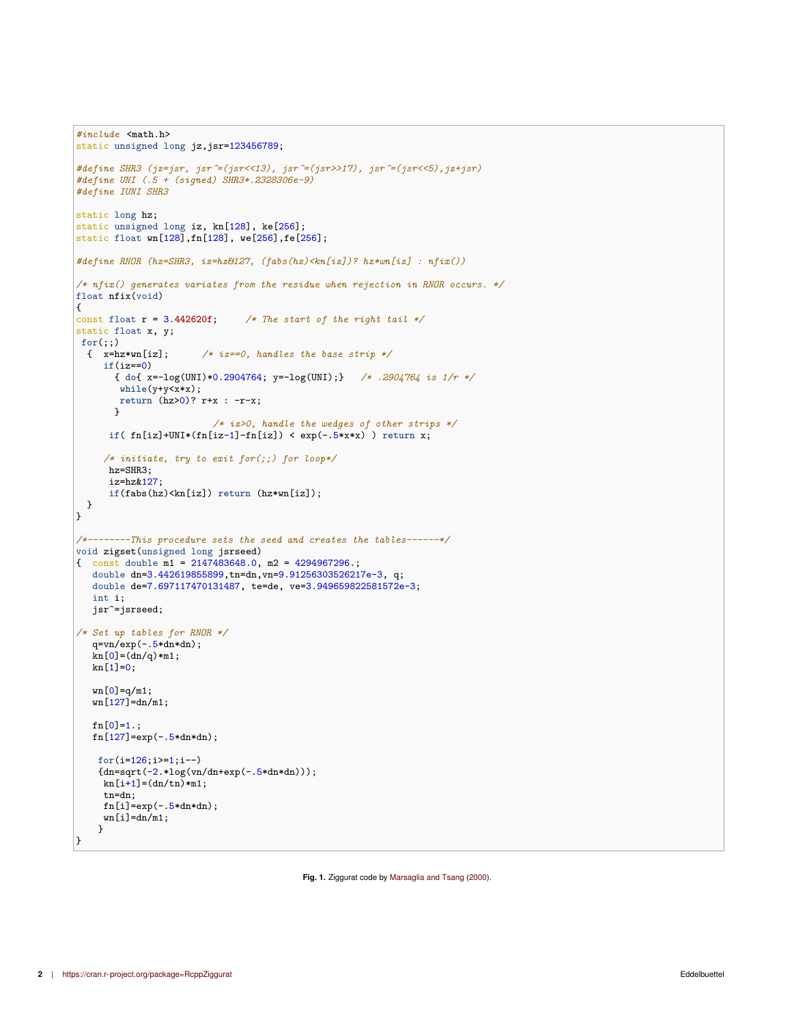```
#include <math.h>
static unsigned long jz,jsr=123456789;
#define SHR3 (jz=jsr, jsr^=(jsr<<13), jsr^=(jsr>>17), jsr^=(jsr<<5),jz+jsr)
#define UNI (.5 + (signed) SHR3*.2328306e-9)
#define IUNI SHR3
static long hz;
static unsigned long iz, kn[128], ke[256];
static float wn[128],fn[128], we[256],fe[256];
#define RNOR (hz=SHR3, iz=hz&127, (fabs(hz)<kn[iz])? hz*wn[iz] : nfix())
/* nfix() generates variates from the residue when rejection in RNOR occurs. */
float nfix(void)
{
const float r = 3.442620f; /* The start of the right tail */
static float x, y;
for (;;)<br>{ x=hz*wn[iz];/* iz==0, handles the base strip */if(iz==0)
       { do{ x=-log(UNI)*0.2904764; y=-log(UNI);} /* .2904764 is 1/r */
       while(y+y<x*x);
       return (hz>0)? r+x : -r-x;
      }
                         /* iz>0, handle the wedges of other strips */
     if( fn[iz]+UNI*(fn[iz-1]-fn[iz]) < exp(-.5*x*x) ) return x;
     /* initiate, try to exit for(;;) for loop*/
     hz=SHR3;
     iz=hz&127;
     if(fabs(hz)<kn[iz]) return (hz*wn[iz]);
 }
\mathbf{R}/*--------This procedure sets the seed and creates the tables------*/
void zigset(unsigned long jsrseed)
{ const double m1 = 2147483648.0, m2 = 4294967296.;
   double dn=3.442619855899, tn=dn, vn=9.91256303526217e-3, q;
  double de=7.697117470131487, te=de, ve=3.949659822581572e-3;
  int i;
   jsr^=jsrseed;
/* Set up tables for RNOR */
   q=vn/exp(-.5*dn*dn);
   kn[0]=(dn/q)*m1;kn[1]=0;wn[0]=q/m1;wn[127] = dn/m1;
   fn[0]=1.;
   fn[127] = exp(-.5*dn*dn);for(i=126;i>=1;i--)
    {dn=sqrt(-2.*log(vn/dn+exp(-.5*dn*dn)))};kn[i+1]=(dn/tn)*m1;tn=dn;
    fn[i]=exp(-.5*dn*dn);wn[i]=dn/m1;}
\mathbf{R}
```
**Fig. 1.** Ziggurat code by [Marsaglia and Tsang](#page-5-0) [\(2000\)](#page-5-0).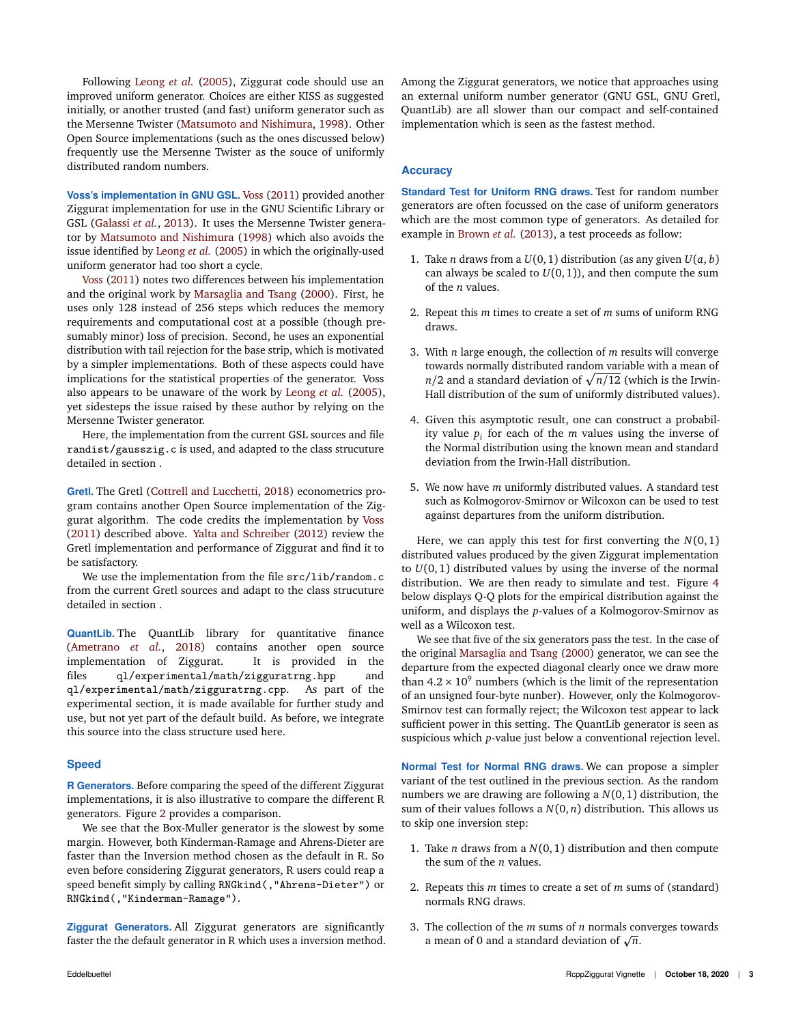Following [Leong](#page-5-1) *et al.* [\(2005\)](#page-5-1), Ziggurat code should use an improved uniform generator. Choices are either KISS as suggested initially, or another trusted (and fast) uniform generator such as the Mersenne Twister [\(Matsumoto and Nishimura,](#page-5-5) [1998\)](#page-5-5). Other Open Source implementations (such as the ones discussed below) frequently use the Mersenne Twister as the souce of uniformly distributed random numbers.

**Voss's implementation in GNU GSL.** [Voss](#page-5-6) [\(2011\)](#page-5-6) provided another Ziggurat implementation for use in the GNU Scientific Library or GSL [\(Galassi](#page-5-7) *et al.*, [2013\)](#page-5-7). It uses the Mersenne Twister generator by [Matsumoto and Nishimura](#page-5-5) [\(1998\)](#page-5-5) which also avoids the issue identified by [Leong](#page-5-1) *et al.* [\(2005\)](#page-5-1) in which the originally-used uniform generator had too short a cycle.

[Voss](#page-5-6) [\(2011\)](#page-5-6) notes two differences between his implementation and the original work by [Marsaglia and Tsang](#page-5-0) [\(2000\)](#page-5-0). First, he uses only 128 instead of 256 steps which reduces the memory requirements and computational cost at a possible (though presumably minor) loss of precision. Second, he uses an exponential distribution with tail rejection for the base strip, which is motivated by a simpler implementations. Both of these aspects could have implications for the statistical properties of the generator. Voss also appears to be unaware of the work by [Leong](#page-5-1) *et al.* [\(2005\)](#page-5-1), yet sidesteps the issue raised by these author by relying on the Mersenne Twister generator.

Here, the implementation from the current GSL sources and file randist/gausszig.c is used, and adapted to the class strucuture detailed in section .

**Gretl.** The Gretl [\(Cottrell and Lucchetti,](#page-5-8) [2018\)](#page-5-8) econometrics program contains another Open Source implementation of the Ziggurat algorithm. The code credits the implementation by [Voss](#page-5-6) [\(2011\)](#page-5-6) described above. [Yalta and Schreiber](#page-5-9) [\(2012\)](#page-5-9) review the Gretl implementation and performance of Ziggurat and find it to be satisfactory.

We use the implementation from the file  $src/lib/random.c$ from the current Gretl sources and adapt to the class strucuture detailed in section .

**QuantLib.** The QuantLib library for quantitative finance [\(Ametrano](#page-5-10) *et al.*, [2018\)](#page-5-10) contains another open source implementation of Ziggurat. It is provided in the files ql/experimental/math/zigguratrng.hpp and ql/experimental/math/zigguratrng.cpp. As part of the experimental section, it is made available for further study and use, but not yet part of the default build. As before, we integrate this source into the class structure used here.

#### **Speed**

**R Generators.** Before comparing the speed of the different Ziggurat implementations, it is also illustrative to compare the different R generators. Figure [2](#page-3-0) provides a comparison.

We see that the Box-Muller generator is the slowest by some margin. However, both Kinderman-Ramage and Ahrens-Dieter are faster than the Inversion method chosen as the default in R. So even before considering Ziggurat generators, R users could reap a speed benefit simply by calling RNGkind(,"Ahrens-Dieter") or RNGkind(,"Kinderman-Ramage").

**Ziggurat Generators.** All Ziggurat generators are significantly faster the the default generator in R which uses a inversion method. Among the Ziggurat generators, we notice that approaches using an external uniform number generator (GNU GSL, GNU Gretl, QuantLib) are all slower than our compact and self-contained implementation which is seen as the fastest method.

# **Accuracy**

**Standard Test for Uniform RNG draws.** Test for random number generators are often focussed on the case of uniform generators which are the most common type of generators. As detailed for example in [Brown](#page-5-11) *et al.* [\(2013\)](#page-5-11), a test proceeds as follow:

- 1. Take *n* draws from a  $U(0, 1)$  distribution (as any given  $U(a, b)$ ) can always be scaled to  $U(0, 1)$ , and then compute the sum of the *n* values.
- 2. Repeat this *m* times to create a set of *m* sums of uniform RNG draws.
- 3. With *n* large enough, the collection of *m* results will converge towards normally distributed random variable with a mean of  $n/2$  and a standard deviation of  $\sqrt{n/12}$  (which is the Irwin-Hall distribution of the sum of uniformly distributed values).
- 4. Given this asymptotic result, one can construct a probability value  $p_i$  for each of the  $m$  values using the inverse of the Normal distribution using the known mean and standard deviation from the Irwin-Hall distribution.
- 5. We now have *m* uniformly distributed values. A standard test such as Kolmogorov-Smirnov or Wilcoxon can be used to test against departures from the uniform distribution.

Here, we can apply this test for first converting the  $N(0,1)$ distributed values produced by the given Ziggurat implementation to  $U(0,1)$  distributed values by using the inverse of the normal distribution. We are then ready to simulate and test. Figure [4](#page-3-1) below displays Q-Q plots for the empirical distribution against the uniform, and displays the *p*-values of a Kolmogorov-Smirnov as well as a Wilcoxon test.

We see that five of the six generators pass the test. In the case of the original [Marsaglia and Tsang](#page-5-0) [\(2000\)](#page-5-0) generator, we can see the departure from the expected diagonal clearly once we draw more than  $4.2 \times 10^9$  numbers (which is the limit of the representation of an unsigned four-byte nunber). However, only the Kolmogorov-Smirnov test can formally reject; the Wilcoxon test appear to lack sufficient power in this setting. The QuantLib generator is seen as suspicious which *p*-value just below a conventional rejection level.

**Normal Test for Normal RNG draws.** We can propose a simpler variant of the test outlined in the previous section. As the random numbers we are drawing are following a *N*(0, 1) distribution, the sum of their values follows a  $N(0, n)$  distribution. This allows us to skip one inversion step:

- 1. Take *n* draws from a *N*(0,1) distribution and then compute the sum of the *n* values.
- 2. Repeats this *m* times to create a set of *m* sums of (standard) normals RNG draws.
- 3. The collection of the *m* sums of *n* normals converges towards The collection of the *m* sums of *n* normals component a mean of 0 and a standard deviation of  $\sqrt{n}$ .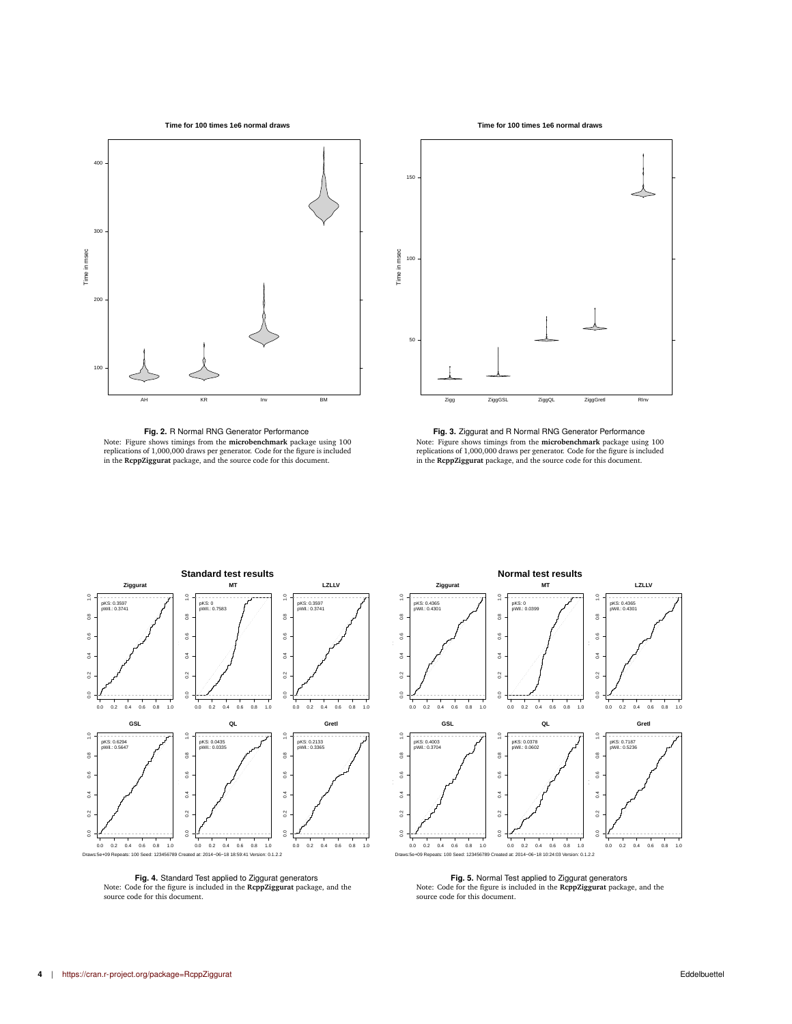

<span id="page-3-0"></span>

**Fig. 2.** R Normal RNG Generator Performance Note: Figure shows timings from the **microbenchmark** package using 100<br>replications of 1,000,000 draws per generator. Code for the figure is included<br>in the **RcppZiggurat** package, and the source code for this document.





**Fig. 3.** Ziggurat and R Normal RNG Generator Performance Note: Figure shows timings from the **microbenchmark** package using 100<br>replications of 1,000,000 draws per generator. Code for the figure is included<br>in the **RcppZiggurat** package, and the source code for this document.

**Normal test results**

<span id="page-3-1"></span>



**Fig. 4.** Standard Test applied to Ziggurat generators Note: Code for the figure is included in the **RcppZiggurat** package, and the source code for this document.

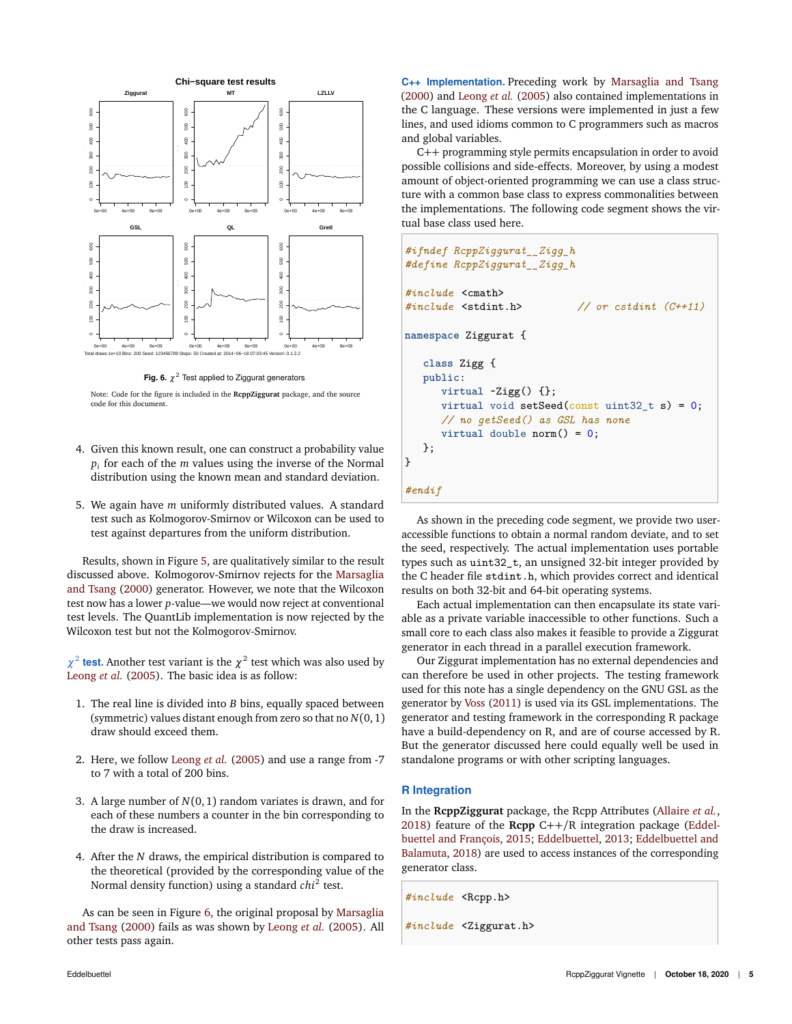<span id="page-4-0"></span>

**Fig. 6.**  $\chi^2$  Test applied to Ziggurat generators

Note: Code for the figure is included in the **RcppZiggurat** package, and the source code for this document.

- 4. Given this known result, one can construct a probability value *pi* for each of the *m* values using the inverse of the Normal distribution using the known mean and standard deviation.
- 5. We again have *m* uniformly distributed values. A standard test such as Kolmogorov-Smirnov or Wilcoxon can be used to test against departures from the uniform distribution.

Results, shown in Figure [5,](#page-3-1) are qualitatively similar to the result discussed above. Kolmogorov-Smirnov rejects for the [Marsaglia](#page-5-0) [and Tsang](#page-5-0) [\(2000\)](#page-5-0) generator. However, we note that the Wilcoxon test now has a lower *p*-value—we would now reject at conventional test levels. The QuantLib implementation is now rejected by the Wilcoxon test but not the Kolmogorov-Smirnov.

 $\chi^2$  test. Another test variant is the  $\chi^2$  test which was also used by [Leong](#page-5-1) *et al.* [\(2005\)](#page-5-1). The basic idea is as follow:

- 1. The real line is divided into *B* bins, equally spaced between (symmetric) values distant enough from zero so that no *N*(0, 1) draw should exceed them.
- 2. Here, we follow [Leong](#page-5-1) *et al.* [\(2005\)](#page-5-1) and use a range from -7 to 7 with a total of 200 bins.
- 3. A large number of *N*(0, 1) random variates is drawn, and for each of these numbers a counter in the bin corresponding to the draw is increased.
- 4. After the *N* draws, the empirical distribution is compared to the theoretical (provided by the corresponding value of the Normal density function) using a standard *chi*<sup>2</sup> test.

As can be seen in Figure [6,](#page-4-0) the original proposal by [Marsaglia](#page-5-0) [and Tsang](#page-5-0) [\(2000\)](#page-5-0) fails as was shown by [Leong](#page-5-1) *et al.* [\(2005\)](#page-5-1). All other tests pass again.

**C++ Implementation.** Preceding work by [Marsaglia and Tsang](#page-5-0) [\(2000\)](#page-5-0) and [Leong](#page-5-1) *et al.* [\(2005\)](#page-5-1) also contained implementations in the C language. These versions were implemented in just a few lines, and used idioms common to C programmers such as macros and global variables.

C++ programming style permits encapsulation in order to avoid possible collisions and side-effects. Moreover, by using a modest amount of object-oriented programming we can use a class structure with a common base class to express commonalities between the implementations. The following code segment shows the virtual base class used here.

```
#ifndef RcppZiggurat__Zigg_h
#define RcppZiggurat__Zigg_h
#include <cmath>
#include <stdint.h> // or cstdint (C++11)
namespace Ziggurat {
   class Zigg {
   public:
      virtual ~Zigg() {};
      virtual void setSeed(const uint32_t s) = 0;
      // no getSeed() as GSL has none
      virtual double norm() = 0;
   };
}
#endif
```
As shown in the preceding code segment, we provide two useraccessible functions to obtain a normal random deviate, and to set the seed, respectively. The actual implementation uses portable types such as uint32\_t, an unsigned 32-bit integer provided by the C header file stdint.h, which provides correct and identical results on both 32-bit and 64-bit operating systems.

Each actual implementation can then encapsulate its state variable as a private variable inaccessible to other functions. Such a small core to each class also makes it feasible to provide a Ziggurat generator in each thread in a parallel execution framework.

Our Ziggurat implementation has no external dependencies and can therefore be used in other projects. The testing framework used for this note has a single dependency on the GNU GSL as the generator by [Voss](#page-5-6) [\(2011\)](#page-5-6) is used via its GSL implementations. The generator and testing framework in the corresponding R package have a build-dependency on R, and are of course accessed by R. But the generator discussed here could equally well be used in standalone programs or with other scripting languages.

# **R Integration**

In the **RcppZiggurat** package, the Rcpp Attributes [\(Allaire](#page-5-12) *et al.*, [2018\)](#page-5-12) feature of the **Rcpp** C++/R integration package [\(Eddel](#page-5-13)[buettel and François,](#page-5-13) [2015;](#page-5-13) [Eddelbuettel,](#page-5-14) [2013;](#page-5-14) [Eddelbuettel and](#page-5-15) [Balamuta,](#page-5-15) [2018\)](#page-5-15) are used to access instances of the corresponding generator class.

*#include* <Rcpp.h>

*#include* <Ziggurat.h>